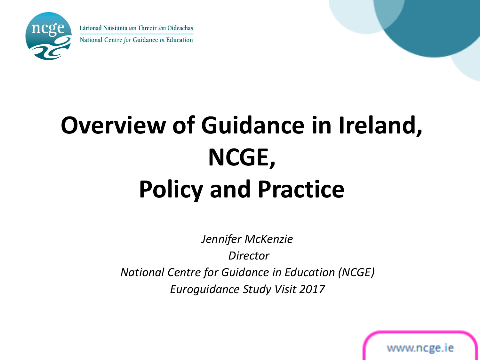

## **Overview of Guidance in Ireland, NCGE, Policy and Practice**

*Jennifer McKenzie Director National Centre for Guidance in Education (NCGE) Euroguidance Study Visit 2017*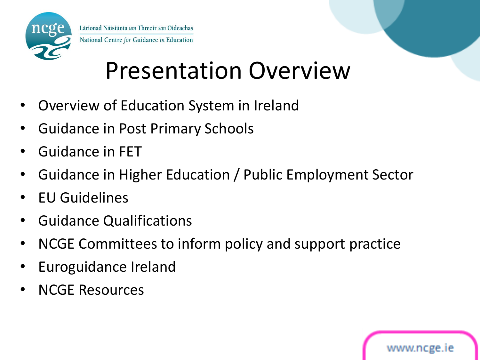

#### Presentation Overview

- Overview of Education System in Ireland
- Guidance in Post Primary Schools
- Guidance in FET
- Guidance in Higher Education / Public Employment Sector
- EU Guidelines
- Guidance Qualifications
- NCGE Committees to inform policy and support practice
- Euroguidance Ireland
- NCGE Resources

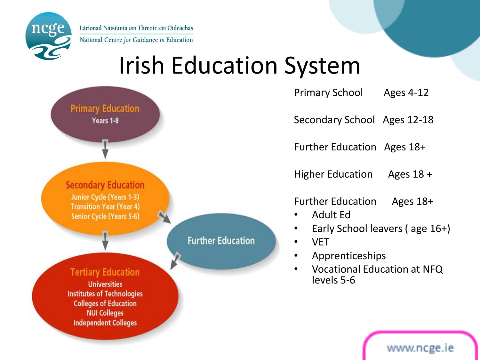ncge

Lárionad Náisiúnta um Threoir san Oideachas National Centre for Guidance in Education

#### Irish Education System



Secondary School Ages 12-18

Further Education Ages 18+

Higher Education Ages 18 +

Further Education Ages 18+

- Adult Ed
- Early School leavers ( age 16+)
	- VET
- Apprenticeships
- Vocational Education at NFQ levels 5-6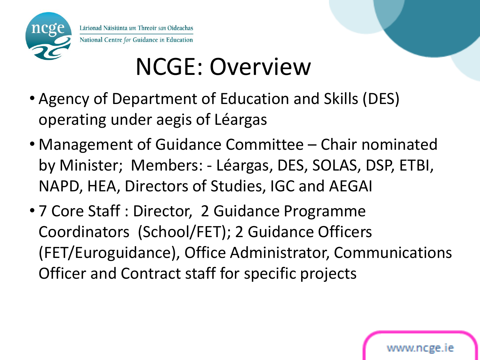

## NCGE: Overview

- Agency of Department of Education and Skills (DES) operating under aegis of Léargas
- Management of Guidance Committee Chair nominated by Minister; Members: - Léargas, DES, SOLAS, DSP, ETBI, NAPD, HEA, Directors of Studies, IGC and AEGAI
- 7 Core Staff : Director, 2 Guidance Programme Coordinators (School/FET); 2 Guidance Officers (FET/Euroguidance), Office Administrator, Communications Officer and Contract staff for specific projects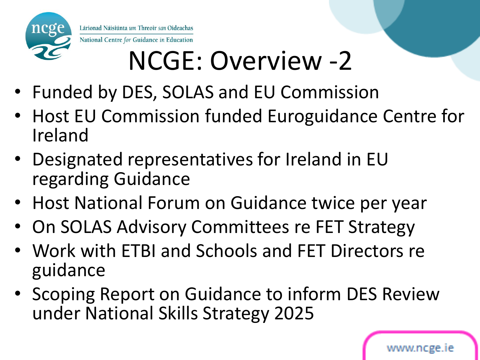

# NCGE: Overview -2

- Funded by DES, SOLAS and EU Commission
- Host EU Commission funded Euroguidance Centre for Ireland
- Designated representatives for Ireland in EU regarding Guidance
- Host National Forum on Guidance twice per year
- On SOLAS Advisory Committees re FET Strategy
- Work with ETBI and Schools and FET Directors re guidance
- Scoping Report on Guidance to inform DES Review under National Skills Strategy 2025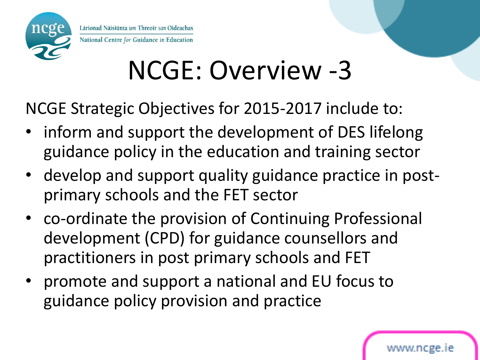

## NCGE: Overview -3

NCGE Strategic Objectives for 2015-2017 include to:

- inform and support the development of DES lifelong guidance policy in the education and training sector
- develop and support quality guidance practice in postprimary schools and the FET sector
- co-ordinate the provision of Continuing Professional development (CPD) for guidance counsellors and practitioners in post primary schools and FET
- promote and support a national and EU focus to guidance policy provision and practice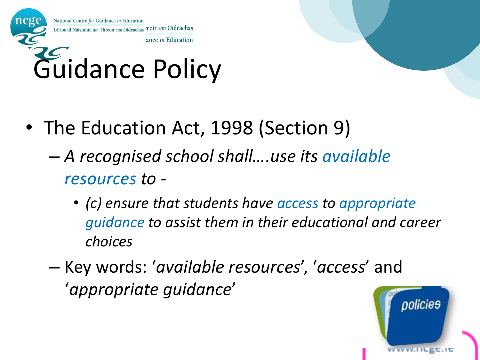

Guidance Policy

- The Education Act, 1998 (Section 9)
	- *A recognised school shall….use its available resources to -*
		- *(c) ensure that students have access to appropriate guidance to assist them in their educational and career choices*
	- Key words: '*available resources*', '*access*' and '*appropriate guidance*'

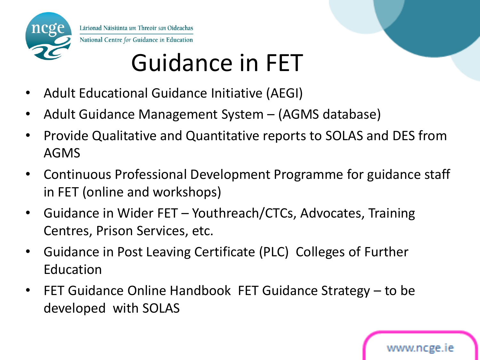

### Guidance in FET

- Adult Educational Guidance Initiative (AEGI)
- Adult Guidance Management System (AGMS database)
- Provide Qualitative and Quantitative reports to SOLAS and DES from AGMS
- Continuous Professional Development Programme for guidance staff in FET (online and workshops)
- Guidance in Wider FET Youthreach/CTCs, Advocates, Training Centres, Prison Services, etc.
- Guidance in Post Leaving Certificate (PLC) Colleges of Further Education
- FET Guidance Online Handbook FET Guidance Strategy to be developed with SOLAS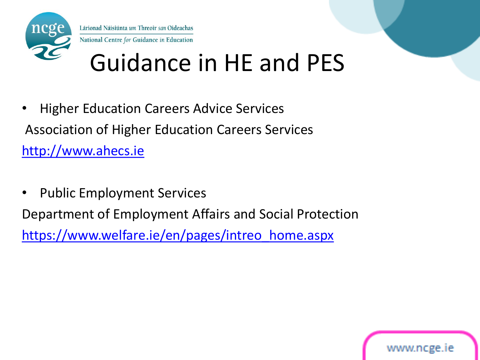

#### Guidance in HE and PES

- Higher Education Careers Advice Services Association of Higher Education Careers Services [http://www.ahecs.ie](http://www.ahecs.ie/)
- Public Employment Services

Department of Employment Affairs and Social Protection

[https://www.welfare.ie/en/pages/intreo\\_home.aspx](https://www.welfare.ie/en/pages/intreo_home.aspx)

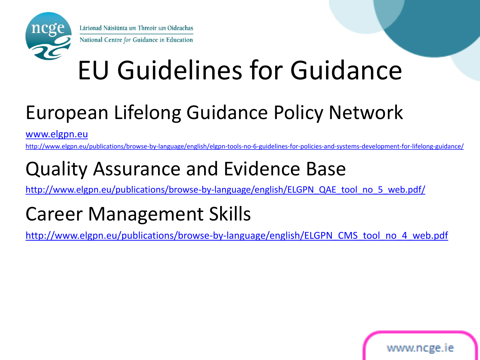

# EU Guidelines for Guidance

#### European Lifelong Guidance Policy Network

[www.elgpn.eu](http://www.elgpn.eu/)

<http://www.elgpn.eu/publications/browse-by-language/english/elgpn-tools-no-6-guidelines-for-policies-and-systems-development-for-lifelong-guidance/>

#### Quality Assurance and Evidence Base

[http://www.elgpn.eu/publications/browse-by-language/english/ELGPN\\_QAE\\_tool\\_no\\_5\\_web.pdf/](http://www.elgpn.eu/publications/browse-by-language/english/ELGPN_QAE_tool_no_5_web.pdf/)

#### Career Management Skills

[http://www.elgpn.eu/publications/browse-by-language/english/ELGPN\\_CMS\\_tool\\_no\\_4\\_web.pdf](http://www.elgpn.eu/publications/browse-by-language/english/ELGPN_CMS_tool_no_4_web.pdf)

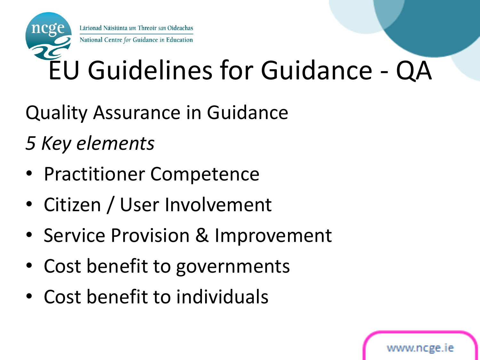# EU Guidelines for Guidance - QA

Quality Assurance in Guidance

*5 Key elements* 

- Practitioner Competence
- Citizen / User Involvement
- Service Provision & Improvement
- Cost benefit to governments
- Cost benefit to individuals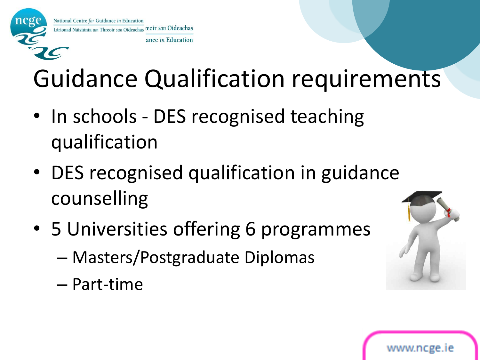

## Guidance Qualification requirements

- In schools DES recognised teaching qualification
- DES recognised qualification in guidance counselling
- 5 Universities offering 6 programmes
	- Masters/Postgraduate Diplomas
	- Part-time



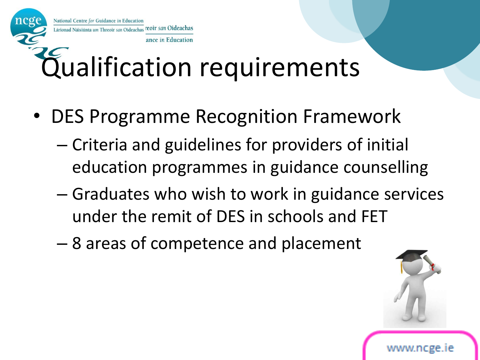National Centre for Guidance in Education Lárionad Náisiúnta um Threoir san Oideachas coir san Oideachas

# Qualification requirements

ance in Education

- DES Programme Recognition Framework
	- Criteria and guidelines for providers of initial education programmes in guidance counselling
	- Graduates who wish to work in guidance services under the remit of DES in schools and FET
	- 8 areas of competence and placement

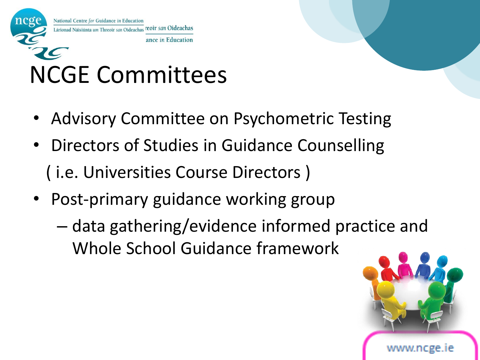

#### NCGE Committees

- Advisory Committee on Psychometric Testing
- Directors of Studies in Guidance Counselling ( i.e. Universities Course Directors )
- Post-primary guidance working group
	- data gathering/evidence informed practice and Whole School Guidance framework

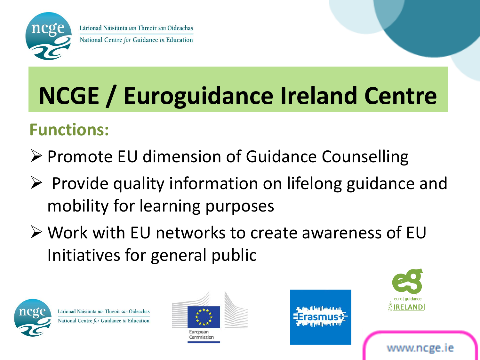

#### National Centre for Guidance in Education

# **NCGE / Euroguidance Ireland Centre**

#### **Functions:**

- ▶ Promote EU dimension of Guidance Counselling
- $\triangleright$  Provide quality information on lifelong guidance and mobility for learning purposes
- Work with EU networks to create awareness of EU Initiatives for general public



Lárionad Náisiúnta um Threoir san Oideachas National Centre for Guidance in Education



European Commission



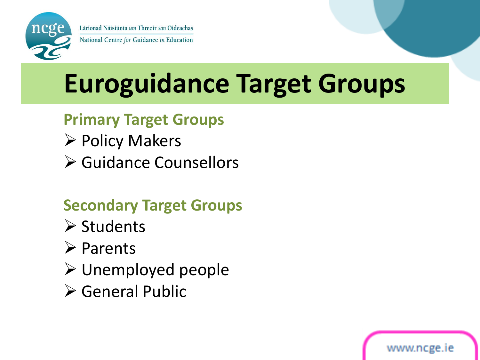

National Centre for Guidance in Education

## **Euroguidance Target Groups**

#### **Primary Target Groups**

- $\triangleright$  Policy Makers
- **≻ Guidance Counsellors**

#### **Secondary Target Groups**

- $\triangleright$  Students
- **≻** Parents
- $\triangleright$  Unemployed people
- General Public

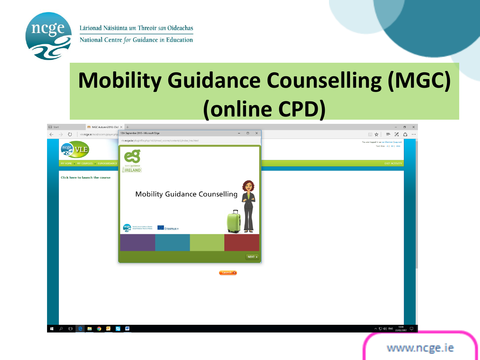

National Centre for Guidance in Education

#### **Mobility Guidance Counselling (MGC) (online CPD)**

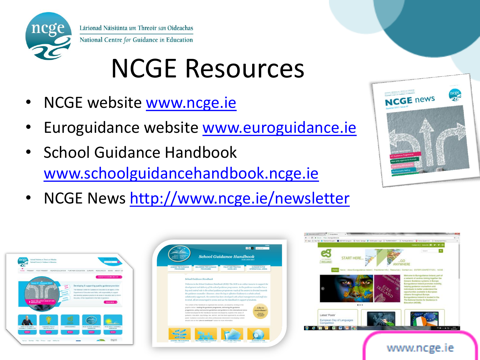

# NCGE Resources

- NCGE website [www.ncge.ie](http://www.ncge.ie/)
- Euroguidance website [www.euroguidance.ie](http://www.euroguidance.ie/)
- School Guidance Handbook [www.schoolguidancehandbook.ncge.ie](http://www.schoolguidancehandbook.ncge.ie/)
- **NCGE** news
- NCGE News <http://www.ncge.ie/newsletter>





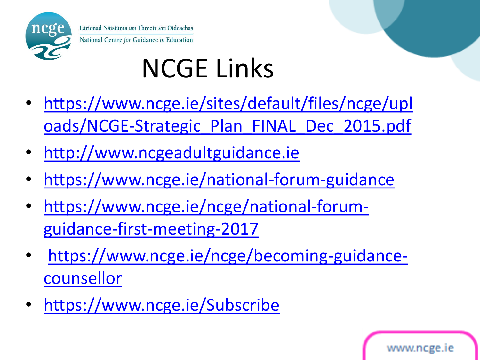

# NCGE Links

- [https://www.ncge.ie/sites/default/files/ncge/upl](https://www.ncge.ie/sites/default/files/ncge/uploads/NCGE-Strategic_Plan_FINAL_Dec_2015.pdf) [oads/NCGE-Strategic\\_Plan\\_FINAL\\_Dec\\_2015.pdf](https://www.ncge.ie/sites/default/files/ncge/uploads/NCGE-Strategic_Plan_FINAL_Dec_2015.pdf)
- [http://www.ncgeadultguidance.ie](http://www.ncgeadultguidance.ie/)
- <https://www.ncge.ie/national-forum-guidance>
- [https://www.ncge.ie/ncge/national-forum](https://www.ncge.ie/ncge/national-forum-guidance-first-meeting-2017)[guidance-first-meeting-2017](https://www.ncge.ie/ncge/national-forum-guidance-first-meeting-2017)
- [https://www.ncge.ie/ncge/becoming-guidance](https://www.ncge.ie/ncge/becoming-guidance-counsellor)[counsellor](https://www.ncge.ie/ncge/becoming-guidance-counsellor)
- <https://www.ncge.ie/Subscribe>